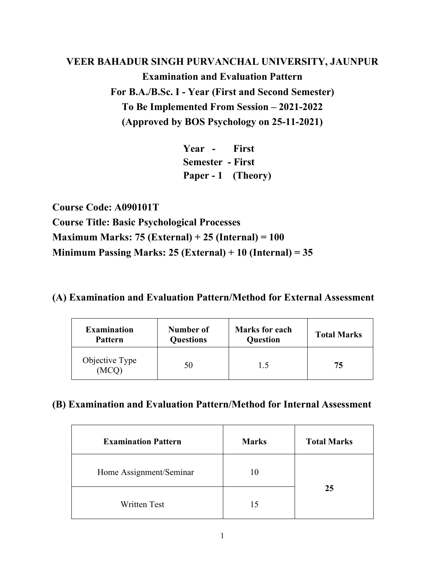# **VEER BAHADUR SINGH PURVANCHAL UNIVERSITY, JAUNPUR Examination and Evaluation Pattern For B.A./B.Sc. I - Year (First and Second Semester) To Be Implemented From Session – 2021-2022 (Approved by BOS Psychology on 25-11-2021)**

**Year - First Semester - First Paper - 1 (Theory)** 

**Course Code: A090101T Course Title: Basic Psychological Processes Maximum Marks: 75 (External) + 25 (Internal) = 100 Minimum Passing Marks: 25 (External) + 10 (Internal) = 35** 

## **(A) Examination and Evaluation Pattern/Method for External Assessment**

| <b>Examination</b>      | Number of        | <b>Marks for each</b> | <b>Total Marks</b> |
|-------------------------|------------------|-----------------------|--------------------|
| <b>Pattern</b>          | <b>Questions</b> | <b>Question</b>       |                    |
| Objective Type<br>(MCO) | 50               | 1.5                   | 75                 |

| <b>Examination Pattern</b> | <b>Marks</b> | <b>Total Marks</b> |
|----------------------------|--------------|--------------------|
| Home Assignment/Seminar    | 10           |                    |
| <b>Written Test</b>        | 15           | 25                 |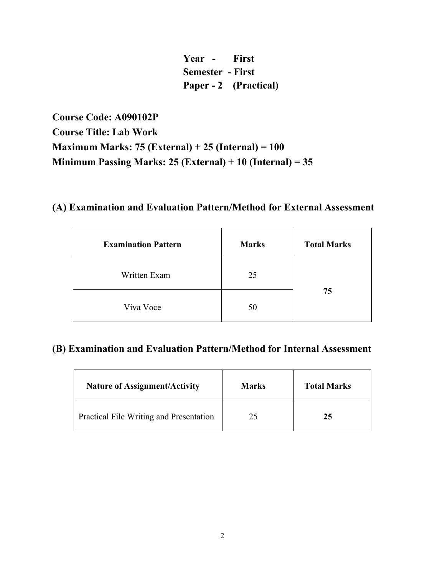**Year - First Semester - First Paper - 2 (Practical)** 

**Course Code: A090102P Course Title: Lab Work Maximum Marks: 75 (External) + 25 (Internal) = 100 Minimum Passing Marks: 25 (External) + 10 (Internal) = 35** 

# **(A) Examination and Evaluation Pattern/Method for External Assessment**

| <b>Examination Pattern</b> | <b>Marks</b> | <b>Total Marks</b> |
|----------------------------|--------------|--------------------|
| Written Exam               | 25           |                    |
| Viva Voce                  | 50           | 75                 |

| <b>Nature of Assignment/Activity</b>    | <b>Marks</b> | <b>Total Marks</b> |
|-----------------------------------------|--------------|--------------------|
| Practical File Writing and Presentation | 25           | 25                 |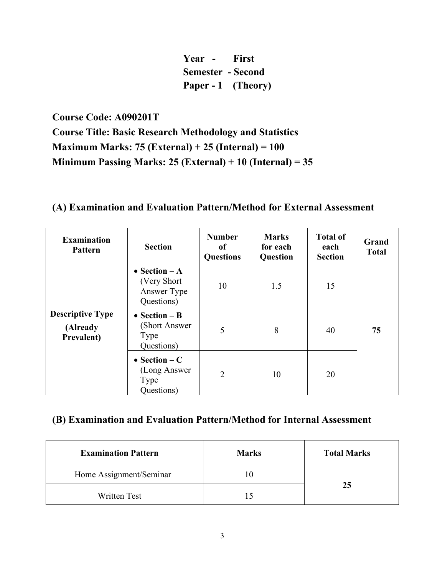**Year - First Semester - Second Paper - 1 (Theory)** 

**Course Code: A090201T** 

**Course Title: Basic Research Methodology and Statistics Maximum Marks: 75 (External) + 25 (Internal) = 100 Minimum Passing Marks: 25 (External) + 10 (Internal) = 35** 

## **(A) Examination and Evaluation Pattern/Method for External Assessment**

| <b>Examination</b><br><b>Pattern</b>              | <b>Section</b>                                              | <b>Number</b><br><sub>of</sub><br><b>Questions</b> | <b>Marks</b><br>for each<br>Question | <b>Total of</b><br>each<br><b>Section</b> | Grand<br><b>Total</b> |
|---------------------------------------------------|-------------------------------------------------------------|----------------------------------------------------|--------------------------------------|-------------------------------------------|-----------------------|
|                                                   | • Section $-A$<br>(Very Short)<br>Answer Type<br>Questions) | 10                                                 | 1.5                                  | 15                                        |                       |
| <b>Descriptive Type</b><br>(Already<br>Prevalent) | • Section $- B$<br>(Short Answer<br>Type<br>Questions)      | 5                                                  | 8                                    | 40                                        | 75                    |
|                                                   | • Section $-C$<br>(Long Answer)<br>Type<br>Questions)       | $\overline{2}$                                     | 10                                   | 20                                        |                       |

| <b>Examination Pattern</b> | <b>Marks</b> | <b>Total Marks</b> |
|----------------------------|--------------|--------------------|
| Home Assignment/Seminar    |              |                    |
| <b>Written Test</b>        |              | 25                 |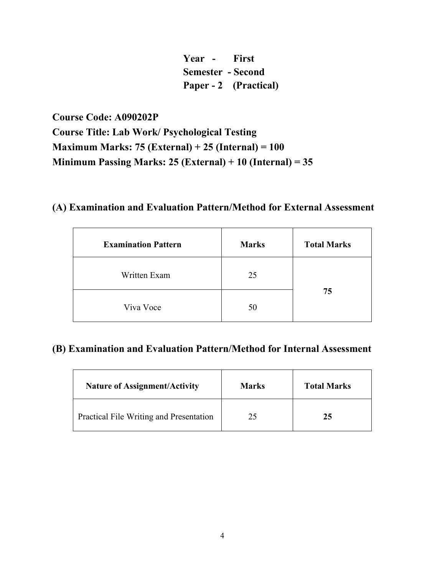**Year - First Semester - Second Paper - 2 (Practical)** 

**Course Code: A090202P Course Title: Lab Work/ Psychological Testing Maximum Marks: 75 (External) + 25 (Internal) = 100 Minimum Passing Marks: 25 (External) + 10 (Internal) = 35** 

### **(A) Examination and Evaluation Pattern/Method for External Assessment**

| <b>Examination Pattern</b> | <b>Marks</b> | <b>Total Marks</b> |
|----------------------------|--------------|--------------------|
| Written Exam               | 25           |                    |
| Viva Voce                  | 50           | 75                 |

| <b>Nature of Assignment/Activity</b>    | <b>Marks</b> | <b>Total Marks</b> |
|-----------------------------------------|--------------|--------------------|
| Practical File Writing and Presentation | 25           | 25                 |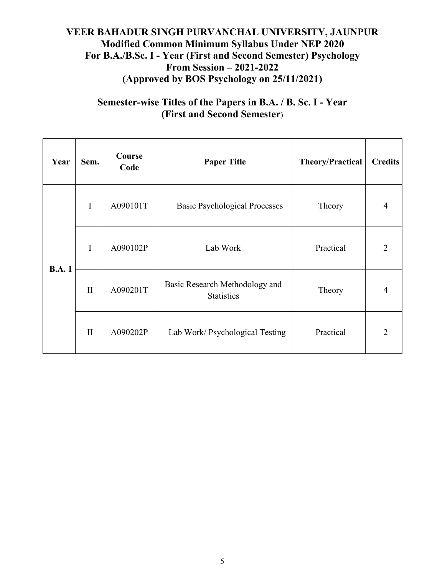## **VEER BAHADUR SINGH PURVANCHAL UNIVERSITY, JAUNPUR Modified Common Minimum Syllabus Under NEP 2020 For B.A./B.Sc. I - Year (First and Second Semester) Psychology From Session – 2021-2022 (Approved by BOS Psychology on 25/11/2021)**

## **Semester-wise Titles of the Papers in B.A. / B. Sc. I - Year (First and Second Semester**)

| Year         | Sem.         | Course<br>Code                                                  | <b>Paper Title</b>                   | <b>Theory/Practical</b> | <b>Credits</b> |
|--------------|--------------|-----------------------------------------------------------------|--------------------------------------|-------------------------|----------------|
|              | I            | A090101T                                                        | <b>Basic Psychological Processes</b> | Theory                  | 4              |
| I            |              | A090102P                                                        | Lab Work                             | Practical               | $\overline{2}$ |
| <b>B.A.1</b> | $\mathbf{I}$ | Basic Research Methodology and<br>A090201T<br><b>Statistics</b> |                                      | Theory                  | 4              |
|              | $\mathbf{I}$ | A090202P                                                        | Lab Work/ Psychological Testing      | Practical               | $\mathfrak{D}$ |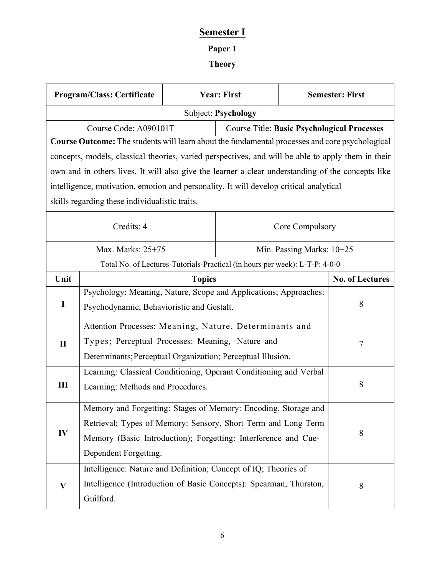## **Semester I**

# **Paper 1**

## **Theory**

|                            | <b>Program/Class: Certificate</b>                                                                  | <b>Year: First</b> |  | <b>Semester: First</b>      |                                                    |  |
|----------------------------|----------------------------------------------------------------------------------------------------|--------------------|--|-----------------------------|----------------------------------------------------|--|
| <b>Subject: Psychology</b> |                                                                                                    |                    |  |                             |                                                    |  |
|                            | Course Code: A090101T                                                                              |                    |  |                             | <b>Course Title: Basic Psychological Processes</b> |  |
|                            | Course Outcome: The students will learn about the fundamental processes and core psychological     |                    |  |                             |                                                    |  |
|                            | concepts, models, classical theories, varied perspectives, and will be able to apply them in their |                    |  |                             |                                                    |  |
|                            | own and in others lives. It will also give the learner a clear understanding of the concepts like  |                    |  |                             |                                                    |  |
|                            | intelligence, motivation, emotion and personality. It will develop critical analytical             |                    |  |                             |                                                    |  |
|                            | skills regarding these individualistic traits.                                                     |                    |  |                             |                                                    |  |
|                            | Credits: 4                                                                                         |                    |  | Core Compulsory             |                                                    |  |
|                            | Max. Marks: 25+75                                                                                  |                    |  | Min. Passing Marks: $10+25$ |                                                    |  |
|                            | Total No. of Lectures-Tutorials-Practical (in hours per week): L-T-P: 4-0-0                        |                    |  |                             |                                                    |  |
| Unit                       |                                                                                                    | <b>Topics</b>      |  |                             | <b>No. of Lectures</b>                             |  |
|                            | Psychology: Meaning, Nature, Scope and Applications; Approaches:                                   |                    |  |                             |                                                    |  |
| $\bf{I}$                   | Psychodynamic, Behavioristic and Gestalt.                                                          |                    |  |                             | 8                                                  |  |
|                            | Attention Processes: Meaning, Nature, Determinants and                                             |                    |  |                             |                                                    |  |
| $\mathbf{I}$               | Types; Perceptual Processes: Meaning, Nature and                                                   |                    |  |                             | 7                                                  |  |
|                            | Determinants; Perceptual Organization; Perceptual Illusion.                                        |                    |  |                             |                                                    |  |
|                            | Learning: Classical Conditioning, Operant Conditioning and Verbal                                  |                    |  |                             |                                                    |  |
| III                        | Learning: Methods and Procedures.                                                                  |                    |  |                             | 8                                                  |  |
|                            | Memory and Forgetting: Stages of Memory: Encoding, Storage and                                     |                    |  |                             |                                                    |  |
|                            | Retrieval; Types of Memory: Sensory, Short Term and Long Term                                      |                    |  |                             |                                                    |  |
| IV                         | Memory (Basic Introduction); Forgetting: Interference and Cue-                                     |                    |  |                             | 8                                                  |  |
|                            | Dependent Forgetting.                                                                              |                    |  |                             |                                                    |  |
|                            | Intelligence: Nature and Definition; Concept of IQ; Theories of                                    |                    |  |                             |                                                    |  |
| $\bf{V}$                   | Intelligence (Introduction of Basic Concepts): Spearman, Thurston,                                 |                    |  | 8                           |                                                    |  |
|                            | Guilford.                                                                                          |                    |  |                             |                                                    |  |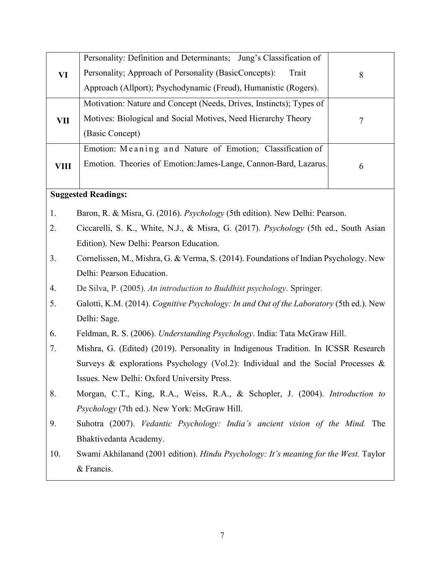|             | Personality: Definition and Determinants; Jung's Classification of                      |   |
|-------------|-----------------------------------------------------------------------------------------|---|
| VI          | Personality; Approach of Personality (BasicConcepts):<br>Trait                          | 8 |
|             | Approach (Allport); Psychodynamic (Freud), Humanistic (Rogers).                         |   |
|             | Motivation: Nature and Concept (Needs, Drives, Instincts); Types of                     |   |
| <b>VII</b>  | Motives: Biological and Social Motives, Need Hierarchy Theory                           | 7 |
|             | (Basic Concept)                                                                         |   |
|             | Emotion: Meaning and Nature of Emotion; Classification of                               |   |
| <b>VIII</b> | Emotion. Theories of Emotion: James-Lange, Cannon-Bard, Lazarus.                        | 6 |
|             |                                                                                         |   |
|             | <b>Suggested Readings:</b>                                                              |   |
| 1.          | Baron, R. & Misra, G. (2016). <i>Psychology</i> (5th edition). New Delhi: Pearson.      |   |
| 2.          | Ciccarelli, S. K., White, N.J., & Misra, G. (2017). Psychology (5th ed., South Asian    |   |
|             | Edition). New Delhi: Pearson Education.                                                 |   |
| 3.          | Cornelissen, M., Mishra, G. & Verma, S. (2014). Foundations of Indian Psychology. New   |   |
|             | Delhi: Pearson Education.                                                               |   |
| 4.          | De Silva, P. (2005). An introduction to Buddhist psychology. Springer.                  |   |
| 5.          | Galotti, K.M. (2014). Cognitive Psychology: In and Out of the Laboratory (5th ed.). New |   |
|             | Delhi: Sage.                                                                            |   |
| 6.          | Feldman, R. S. (2006). Understanding Psychology. India: Tata McGraw Hill.               |   |
| 7.          | Mishra, G. (Edited) (2019). Personality in Indigenous Tradition. In ICSSR Research      |   |
|             | Surveys & explorations Psychology (Vol.2): Individual and the Social Processes &        |   |
|             | Issues. New Delhi: Oxford University Press.                                             |   |
| 8.          | Morgan, C.T., King, R.A., Weiss, R.A., & Schopler, J. (2004). Introduction to           |   |
|             | <i>Psychology</i> (7th ed.). New York: McGraw Hill.                                     |   |
| 9.          | Suhotra (2007). Vedantic Psychology: India's ancient vision of the Mind. The            |   |
|             | Bhaktivedanta Academy.                                                                  |   |
| 10.         | Swami Akhilanand (2001 edition). Hindu Psychology: It's meaning for the West. Taylor    |   |
|             | & Francis.                                                                              |   |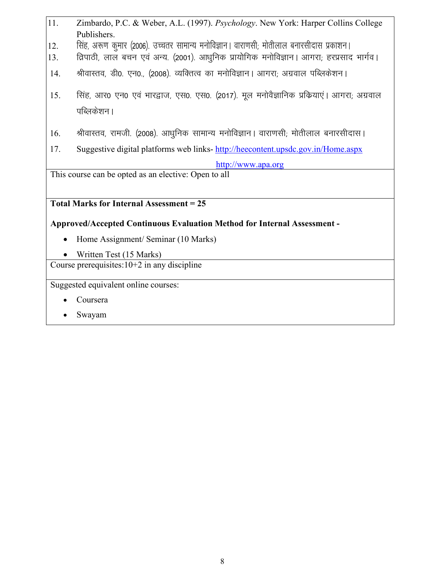| Zimbardo, P.C. & Weber, A.L. (1997). Psychology. New York: Harper Collins College |
|-----------------------------------------------------------------------------------|
| Publishers.                                                                       |

- 12. fिसंह, अरूण कुमार (2006). उच्चतर सामान्य मनोविज्ञान। वाराणसी; मोतीलाल बनारसीदास प्रकाशन।
- 13. fिवाठी, लाल बचन एवं अन्य. (2001). आधुनिक प्रायोगिक मनोविज्ञान। आगरा; हरप्रसाद भार्गव।
- $14.$  श्रीवास्तव, डी0. एन0., (2008). व्यक्तित्व का मनोविज्ञान। आगरा; अग्रवाल पब्लिकेशन।
- 15. सिंह, आर0 एन0 एवं भारद्वाज, एस0. एस0. (2017). मूल मनोवैज्ञानिक प्रकियाएं। आगरा; अग्रवाल पब्लिकेशन ।
- 16. श्रीवास्तव, रामजी. (2008). आधुनिक सामान्य मनोविज्ञान। वाराणसी; मोतीलाल बनारसीदास।
- 17. Suggestive digital platforms web links- http://heecontent.upsdc.gov.in/Home.aspx

http://www.apa.org

This course can be opted as an elective: Open to all

**Total Marks for Internal Assessment = 25**

#### **Approved/Accepted Continuous Evaluation Method for Internal Assessment -**

- Home Assignment/ Seminar (10 Marks)
- Written Test (15 Marks)

Course prerequisites:10+2 in any discipline

Suggested equivalent online courses:

- Coursera
- Swayam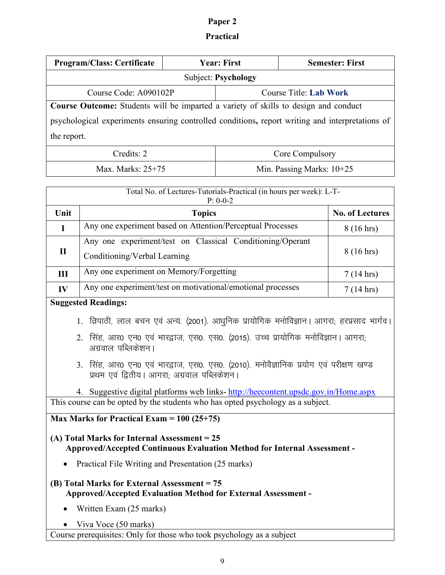## **Paper 2**

#### **Practical**

|                                                                                                 | <b>Program/Class: Certificate</b><br><b>Year: First</b>                                   |  | <b>Semester: First</b>      |                        |
|-------------------------------------------------------------------------------------------------|-------------------------------------------------------------------------------------------|--|-----------------------------|------------------------|
| <b>Subject: Psychology</b>                                                                      |                                                                                           |  |                             |                        |
| Course Code: A090102P<br><b>Course Title: Lab Work</b>                                          |                                                                                           |  |                             |                        |
| Course Outcome: Students will be imparted a variety of skills to design and conduct             |                                                                                           |  |                             |                        |
| psychological experiments ensuring controlled conditions, report writing and interpretations of |                                                                                           |  |                             |                        |
| the report.                                                                                     |                                                                                           |  |                             |                        |
| Credits: 2<br>Core Compulsory                                                                   |                                                                                           |  |                             |                        |
| Max. Marks: $25+75$                                                                             |                                                                                           |  | Min. Passing Marks: $10+25$ |                        |
|                                                                                                 |                                                                                           |  |                             |                        |
| Total No. of Lectures-Tutorials-Practical (in hours per week): L-T-<br>$P: 0-0-2$               |                                                                                           |  |                             |                        |
| Unit                                                                                            | <b>Topics</b>                                                                             |  |                             | <b>No. of Lectures</b> |
| $\mathbf I$                                                                                     | Any one experiment based on Attention/Perceptual Processes                                |  |                             | $8(16 \text{ hrs})$    |
|                                                                                                 | Any one experiment/test on Classical Conditioning/Operant<br>Conditioning/Verbal Learning |  |                             | $8(16 \text{ hrs})$    |
| $\mathbf{I}$                                                                                    |                                                                                           |  |                             |                        |
| III                                                                                             | Any one experiment on Memory/Forgetting                                                   |  | $7(14 \text{ hrs})$         |                        |
| $\mathbf{IV}$                                                                                   | Any one experiment/test on motivational/emotional processes                               |  | $7(14 \text{ hrs})$         |                        |
| <b>Suggested Readings:</b>                                                                      |                                                                                           |  |                             |                        |
| 1. व्रिपाठी, लाल बचन एवं अन्य. (2001). आधुनिक प्रायोगिक मनोविज्ञान। आगरा; हरप्रसाद भार्गव।      |                                                                                           |  |                             |                        |

- 2. सिंह, आर0 एन0 एवं भारद्वाज, एस0. एस0. (2015). उच्च प्रायोगिक मनोविज्ञान। आगरा; अग्रवाल पब्लिकेशन।
- 3. सिंह, आर0 एन0 एवं भारद्वाज, एस0. एस0. (2010). मनोवैज्ञानिक प्रयोग एवं परीक्षण खण्ड प्रथम एवं द्वितीय। आगरा; अग्रवाल पब्लिकेशन।

4. Suggestive digital platforms web links- http://heecontent.upsdc.gov.in/Home.aspx This course can be opted by the students who has opted psychology as a subject.

#### **Max Marks for Practical Exam = 100 (25+75)**

#### **(A) Total Marks for Internal Assessment = 25 Approved/Accepted Continuous Evaluation Method for Internal Assessment -**

• Practical File Writing and Presentation (25 marks)

#### **(B) Total Marks for External Assessment = 75 Approved/Accepted Evaluation Method for External Assessment -**

- Written Exam (25 marks)
- Viva Voce (50 marks)

Course prerequisites: Only for those who took psychology as a subject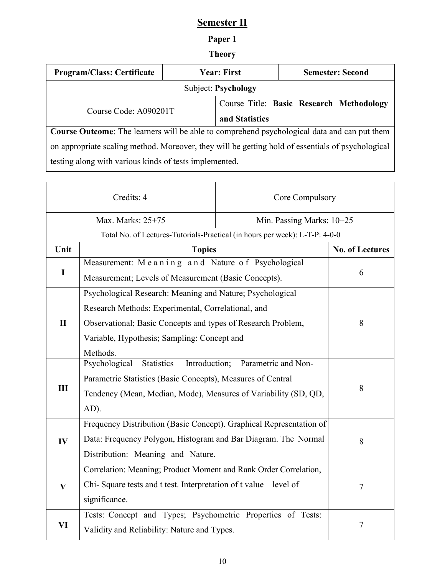## **Semester II**

## **Paper 1**

## **Theory**

| <b>Program/Class: Certificate</b>                                                                  | <b>Year: First</b> |                | <b>Semester: Second</b>                  |
|----------------------------------------------------------------------------------------------------|--------------------|----------------|------------------------------------------|
| Subject: Psychology                                                                                |                    |                |                                          |
| Course Code: A090201T                                                                              |                    |                | Course Title: Basic Research Methodology |
|                                                                                                    |                    | and Statistics |                                          |
| <b>Course Outcome:</b> The learners will be able to comprehend psychological data and can put them |                    |                |                                          |
| on appropriate scaling method. Moreover, they will be getting hold of essentials of psychological  |                    |                |                                          |
| testing along with various kinds of tests implemented.                                             |                    |                |                                          |

| Credits: 4                                                                  |                                                                     | Core Compulsory        |   |  |  |
|-----------------------------------------------------------------------------|---------------------------------------------------------------------|------------------------|---|--|--|
|                                                                             | Max. Marks: 25+75<br>Min. Passing Marks: 10+25                      |                        |   |  |  |
| Total No. of Lectures-Tutorials-Practical (in hours per week): L-T-P: 4-0-0 |                                                                     |                        |   |  |  |
| Unit                                                                        | <b>Topics</b>                                                       | <b>No. of Lectures</b> |   |  |  |
|                                                                             | Measurement: Meaning and Nature of Psychological                    |                        | 6 |  |  |
| $\bf{I}$                                                                    | Measurement; Levels of Measurement (Basic Concepts).                |                        |   |  |  |
|                                                                             | Psychological Research: Meaning and Nature; Psychological           |                        |   |  |  |
|                                                                             | Research Methods: Experimental, Correlational, and                  |                        |   |  |  |
| $\mathbf{I}$                                                                | Observational; Basic Concepts and types of Research Problem,        | 8                      |   |  |  |
|                                                                             | Variable, Hypothesis; Sampling: Concept and                         |                        |   |  |  |
|                                                                             | Methods.                                                            |                        |   |  |  |
|                                                                             | <b>Statistics</b><br>Introduction;<br>Psychological                 | Parametric and Non-    |   |  |  |
|                                                                             | Parametric Statistics (Basic Concepts), Measures of Central         |                        |   |  |  |
| III                                                                         | Tendency (Mean, Median, Mode), Measures of Variability (SD, QD,     | 8                      |   |  |  |
|                                                                             | AD).                                                                |                        |   |  |  |
|                                                                             | Frequency Distribution (Basic Concept). Graphical Representation of |                        |   |  |  |
| IV                                                                          | Data: Frequency Polygon, Histogram and Bar Diagram. The Normal      |                        | 8 |  |  |
|                                                                             | Distribution: Meaning and Nature.                                   |                        |   |  |  |
| $\mathbf{V}$                                                                | Correlation: Meaning; Product Moment and Rank Order Correlation,    |                        |   |  |  |
|                                                                             | Chi-Square tests and t test. Interpretation of t value – level of   |                        | 7 |  |  |
|                                                                             | significance.                                                       |                        |   |  |  |
|                                                                             | Tests: Concept and Types; Psychometric Properties of Tests:         |                        |   |  |  |
| VI                                                                          | Validity and Reliability: Nature and Types.                         |                        | 7 |  |  |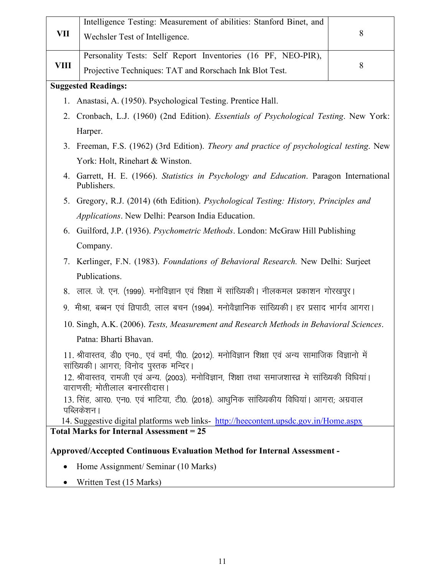|                                                                                                                                 | Intelligence Testing: Measurement of abilities: Stanford Binet, and                                                                        |   |  |  |
|---------------------------------------------------------------------------------------------------------------------------------|--------------------------------------------------------------------------------------------------------------------------------------------|---|--|--|
| VII                                                                                                                             | Wechsler Test of Intelligence.                                                                                                             | 8 |  |  |
|                                                                                                                                 | Personality Tests: Self Report Inventories (16 PF, NEO-PIR),                                                                               |   |  |  |
| VIII                                                                                                                            | Projective Techniques: TAT and Rorschach Ink Blot Test.                                                                                    | 8 |  |  |
|                                                                                                                                 | <b>Suggested Readings:</b>                                                                                                                 |   |  |  |
| 1.                                                                                                                              | Anastasi, A. (1950). Psychological Testing. Prentice Hall.                                                                                 |   |  |  |
| 2.                                                                                                                              | Cronbach, L.J. (1960) (2nd Edition). Essentials of Psychological Testing. New York:                                                        |   |  |  |
|                                                                                                                                 | Harper.                                                                                                                                    |   |  |  |
|                                                                                                                                 | 3. Freeman, F.S. (1962) (3rd Edition). Theory and practice of psychological testing. New                                                   |   |  |  |
|                                                                                                                                 | York: Holt, Rinehart & Winston.                                                                                                            |   |  |  |
| 4.                                                                                                                              | Garrett, H. E. (1966). Statistics in Psychology and Education. Paragon International<br>Publishers.                                        |   |  |  |
|                                                                                                                                 | 5. Gregory, R.J. (2014) (6th Edition). Psychological Testing: History, Principles and                                                      |   |  |  |
|                                                                                                                                 | Applications. New Delhi: Pearson India Education.                                                                                          |   |  |  |
|                                                                                                                                 | 6. Guilford, J.P. (1936). Psychometric Methods. London: McGraw Hill Publishing                                                             |   |  |  |
|                                                                                                                                 | Company.                                                                                                                                   |   |  |  |
| 7.                                                                                                                              | Kerlinger, F.N. (1983). Foundations of Behavioral Research. New Delhi: Surject                                                             |   |  |  |
|                                                                                                                                 | Publications.                                                                                                                              |   |  |  |
|                                                                                                                                 | 8. लाल. जे. एन. (1999). मनोविज्ञान एवं शिक्षा में सांख्यिकी । नीलकमल प्रकाशन गोरखपुर ।                                                     |   |  |  |
|                                                                                                                                 | 9. मीश्रा, बब्बन एवं व्रिपाठी, लाल बचन (1994). मनोवैज्ञानिक सांख्यिकी। हर प्रसाद भार्गव आगरा।                                              |   |  |  |
|                                                                                                                                 | 10. Singh, A.K. (2006). Tests, Measurement and Research Methods in Behavioral Sciences.                                                    |   |  |  |
|                                                                                                                                 | Patna: Bharti Bhavan.                                                                                                                      |   |  |  |
|                                                                                                                                 | 11. श्रीवास्तव, डी0 एन0., एवं वर्मा, पी0. (2012). मनोविज्ञान शिक्षा एवं अन्य सामाजिक विज्ञानो में<br>सांख्यिकी। आगरा; विनोद पुस्तक मन्दिर। |   |  |  |
| 12. श्रीवास्तव, रामजी एवं अन्य. (2003). मनोविज्ञान, शिक्षा तथा समाजशास्त्र मे सांख्यिकी विधियां।<br>वाराणसी; मोतीलाल बनारसीदास। |                                                                                                                                            |   |  |  |
|                                                                                                                                 | 13. सिंह, आर0. एन0. एवं भाटिया, टी0. (2018). आधुनिक सांख्यिकीय विधियां। आगरा; अग्रवाल<br>पब्लिकेशन ।                                       |   |  |  |
|                                                                                                                                 | 14. Suggestive digital platforms web links- http://heecontent.upsdc.gov.in/Home.aspx                                                       |   |  |  |
| <b>Total Marks for Internal Assessment = 25</b>                                                                                 |                                                                                                                                            |   |  |  |
| <b>Approved/Accepted Continuous Evaluation Method for Internal Assessment -</b>                                                 |                                                                                                                                            |   |  |  |
|                                                                                                                                 | Home Assignment/ Seminar (10 Marks)                                                                                                        |   |  |  |

• Written Test (15 Marks)